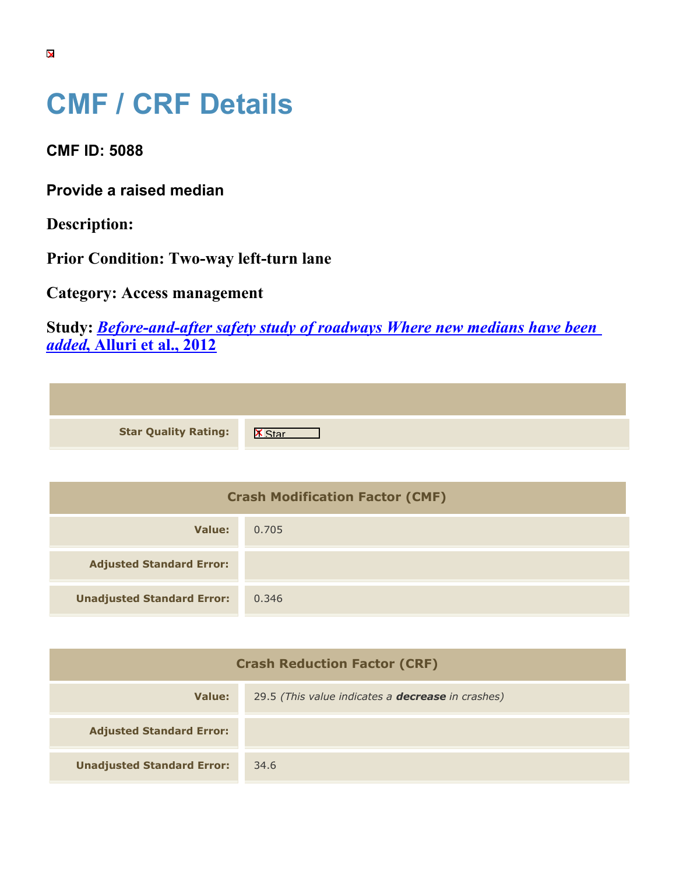## **CMF / CRF Details**

**CMF ID: 5088**

**Provide a raised median**

**Description:** 

**Prior Condition: Two-way left-turn lane**

**Category: Access management**

**Study:** *[Before-and-after safety study of roadways Where new medians have been](https://cmfclearinghouse.org/study_detail.cfm?stid=321) [added](https://cmfclearinghouse.org/study_detail.cfm?stid=321)***[, Alluri et al., 2012](https://cmfclearinghouse.org/study_detail.cfm?stid=321)**

| <b>Star Quality Rating:</b> | $\overline{\mathsf{x}}$ |
|-----------------------------|-------------------------|

| <b>Crash Modification Factor (CMF)</b> |       |
|----------------------------------------|-------|
| Value:                                 | 0.705 |
| <b>Adjusted Standard Error:</b>        |       |
| <b>Unadjusted Standard Error:</b>      | 0.346 |

| <b>Crash Reduction Factor (CRF)</b> |                                                          |
|-------------------------------------|----------------------------------------------------------|
| Value:                              | 29.5 (This value indicates a <b>decrease</b> in crashes) |
| <b>Adjusted Standard Error:</b>     |                                                          |
| <b>Unadjusted Standard Error:</b>   | 34.6                                                     |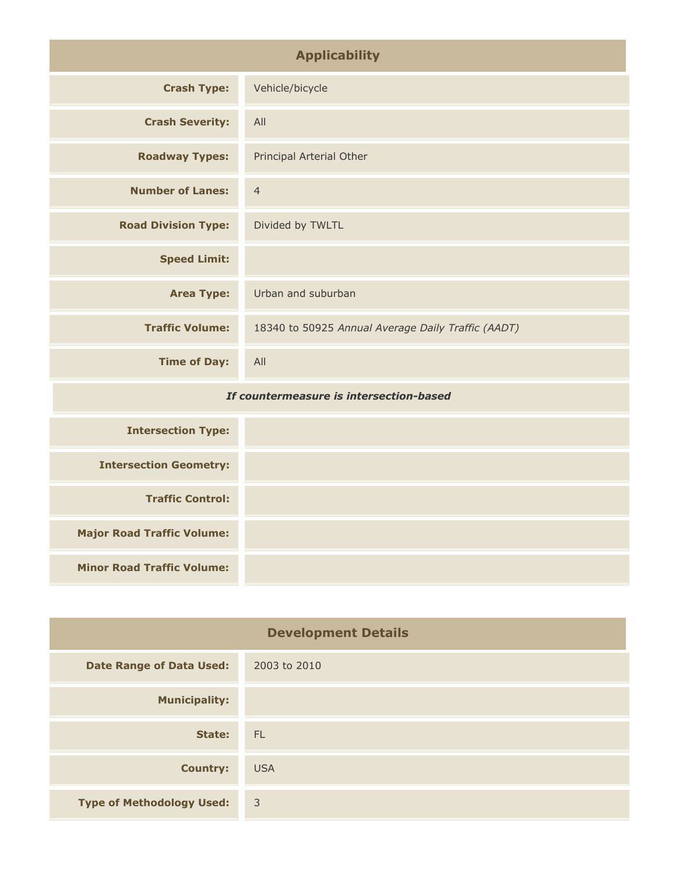| <b>Applicability</b>                    |                                                    |
|-----------------------------------------|----------------------------------------------------|
| <b>Crash Type:</b>                      | Vehicle/bicycle                                    |
| <b>Crash Severity:</b>                  | All                                                |
| <b>Roadway Types:</b>                   | Principal Arterial Other                           |
| <b>Number of Lanes:</b>                 | $\overline{4}$                                     |
| <b>Road Division Type:</b>              | Divided by TWLTL                                   |
| <b>Speed Limit:</b>                     |                                                    |
| <b>Area Type:</b>                       | Urban and suburban                                 |
| <b>Traffic Volume:</b>                  | 18340 to 50925 Annual Average Daily Traffic (AADT) |
| <b>Time of Day:</b>                     | All                                                |
| If countermeasure is intersection-based |                                                    |
| <b>Intersection Type:</b>               |                                                    |
| <b>Intersection Geometry:</b>           |                                                    |

**Traffic Control: Major Road Traffic Volume:**

**Minor Road Traffic Volume:**

| <b>Development Details</b>       |                |
|----------------------------------|----------------|
| <b>Date Range of Data Used:</b>  | 2003 to 2010   |
| <b>Municipality:</b>             |                |
| State:                           | FL.            |
| <b>Country:</b>                  | <b>USA</b>     |
| <b>Type of Methodology Used:</b> | $\overline{3}$ |